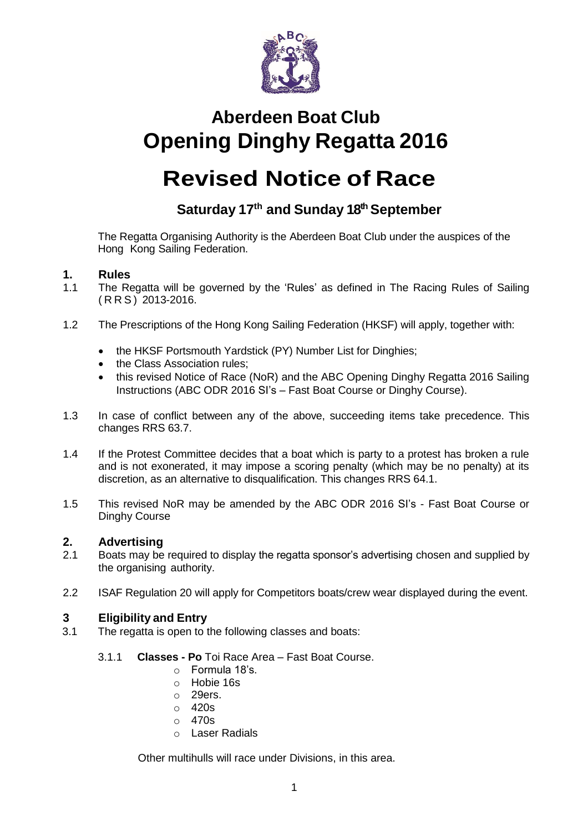

# **Aberdeen Boat Club Opening Dinghy Regatta 2016**

# **Revised Notice of Race**

# **Saturday 17th and Sunday 18 thSeptember**

The Regatta Organising Authority is the Aberdeen Boat Club under the auspices of the Hong Kong Sailing Federation.

# **1. Rules**

- The Regatta will be governed by the 'Rules' as defined in The Racing Rules of Sailing ( R R S ) 2013-2016.
- 1.2 The Prescriptions of the Hong Kong Sailing Federation (HKSF) will apply, together with:
	- the HKSF Portsmouth Yardstick (PY) Number List for Dinghies;
	- the Class Association rules:
	- this revised Notice of Race (NoR) and the ABC Opening Dinghy Regatta 2016 Sailing Instructions (ABC ODR 2016 SI's – Fast Boat Course or Dinghy Course).
- 1.3 In case of conflict between any of the above, succeeding items take precedence. This changes RRS 63.7.
- 1.4 If the Protest Committee decides that a boat which is party to a protest has broken a rule and is not exonerated, it may impose a scoring penalty (which may be no penalty) at its discretion, as an alternative to disqualification. This changes RRS 64.1.
- 1.5 This revised NoR may be amended by the ABC ODR 2016 SI's Fast Boat Course or Dinghy Course

# **2. Advertising**

- 2.1 Boats may be required to display the regatta sponsor's advertising chosen and supplied by the organising authority.
- 2.2 ISAF Regulation 20 will apply for Competitors boats/crew wear displayed during the event.

# **3 Eligibility and Entry**

- 3.1 The regatta is open to the following classes and boats:
	- 3.1.1 **Classes - Po** Toi Race Area Fast Boat Course.
		- $\circ$  Formula 18's.
		- o Hobie 16s
		- o 29ers.
		- o 420s
		- $\circ$  470s
		- o Laser Radials

Other multihulls will race under Divisions, in this area.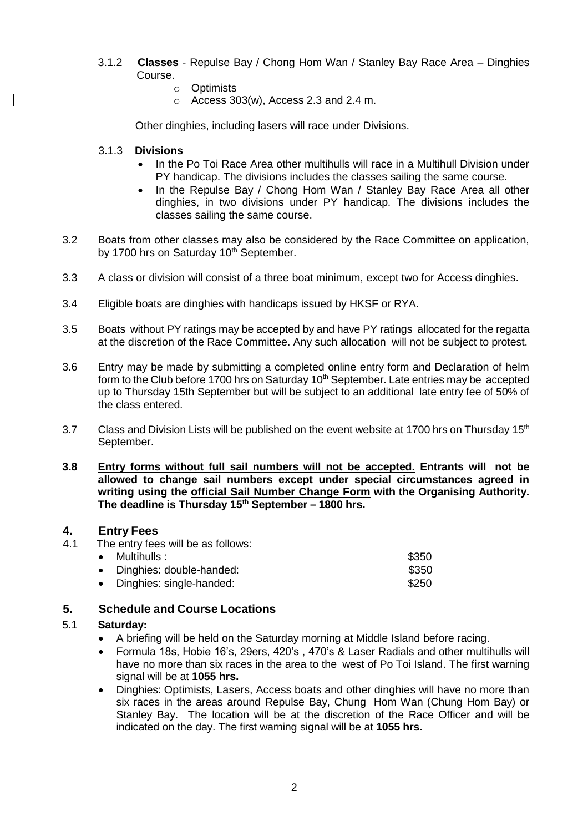- 3.1.2 **Classes**  Repulse Bay / Chong Hom Wan / Stanley Bay Race Area Dinghies Course.
	- o Optimists
	- $\circ$  Access 303(w), Access 2.3 and 2.4-m.

Other dinghies, including lasers will race under Divisions.

#### 3.1.3 **Divisions**

- In the Po Toi Race Area other multihulls will race in a Multihull Division under PY handicap. The divisions includes the classes sailing the same course.
- In the Repulse Bay / Chong Hom Wan / Stanley Bay Race Area all other dinghies, in two divisions under PY handicap. The divisions includes the classes sailing the same course.
- 3.2 Boats from other classes may also be considered by the Race Committee on application, by 1700 hrs on Saturday 10<sup>th</sup> September.
- 3.3 A class or division will consist of a three boat minimum, except two for Access dinghies.
- 3.4 Eligible boats are dinghies with handicaps issued by HKSF or RYA.
- 3.5 Boats without PY ratings may be accepted by and have PY ratings allocated for the regatta at the discretion of the Race Committee. Any such allocation will not be subject to protest.
- 3.6 Entry may be made by submitting a completed online entry form and Declaration of helm form to the Club before 1700 hrs on Saturday 10<sup>th</sup> September. Late entries may be accepted up to Thursday 15th September but will be subject to an additional late entry fee of 50% of the class entered.
- 3.7 Class and Division Lists will be published on the event website at 1700 hrs on Thursday 15<sup>th</sup> September.
- **3.8 Entry forms without full sail numbers will not be accepted. Entrants will not be allowed to change sail numbers except under special circumstances agreed in writing using the official Sail Number Change Form with the Organising Authority. The deadline is Thursday 15th September – 1800 hrs.**

#### **4. Entry Fees**

4.1 The entry fees will be as follows:

| $\bullet$ Multihulls :     | \$350 |
|----------------------------|-------|
| • Dinghies: double-handed: | \$350 |
| • Dinghies: single-handed: | \$250 |

### **5. Schedule and Course Locations**

#### 5.1 **Saturday:**

- A briefing will be held on the Saturday morning at Middle Island before racing.
- Formula 18s, Hobie 16's, 29ers, 420's , 470's & Laser Radials and other multihulls will have no more than six races in the area to the west of Po Toi Island. The first warning signal will be at **1055 hrs.**
- Dinghies: Optimists, Lasers, Access boats and other dinghies will have no more than six races in the areas around Repulse Bay, Chung Hom Wan (Chung Hom Bay) or Stanley Bay. The location will be at the discretion of the Race Officer and will be indicated on the day. The first warning signal will be at **1055 hrs.**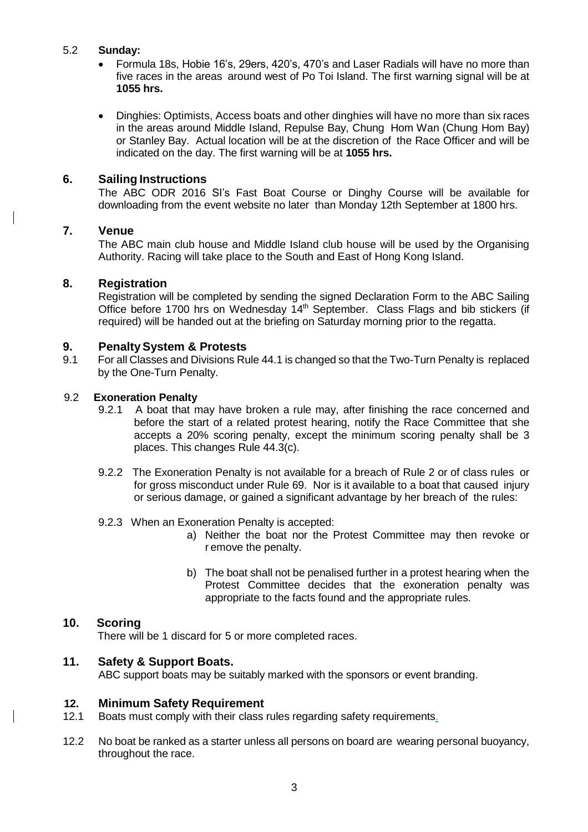#### 5.2 **Sunday:**

- Formula 18s, Hobie 16's, 29ers, 420's, 470's and Laser Radials will have no more than five races in the areas around west of Po Toi Island. The first warning signal will be at **1055 hrs.**
- Dinghies: Optimists, Access boats and other dinghies will have no more than six races in the areas around Middle Island, Repulse Bay, Chung Hom Wan (Chung Hom Bay) or Stanley Bay. Actual location will be at the discretion of the Race Officer and will be indicated on the day. The first warning will be at **1055 hrs.**

# **6. Sailing Instructions**

The ABC ODR 2016 SI's Fast Boat Course or Dinghy Course will be available for downloading from the event website no later than Monday 12th September at 1800 hrs.

#### **7. Venue**

The ABC main club house and Middle Island club house will be used by the Organising Authority. Racing will take place to the South and East of Hong Kong Island.

#### **8. Registration**

Registration will be completed by sending the signed Declaration Form to the ABC Sailing Office before 1700 hrs on Wednesday 14<sup>th</sup> September. Class Flags and bib stickers (if required) will be handed out at the briefing on Saturday morning prior to the regatta.

#### **9. PenaltySystem & Protests**

9.1 For all Classes and Divisions Rule 44.1 is changed so that the Two-Turn Penalty is replaced by the One-Turn Penalty.

#### 9.2 **Exoneration Penalty**

- 9.2.1 A boat that may have broken a rule may, after finishing the race concerned and before the start of a related protest hearing, notify the Race Committee that she accepts a 20% scoring penalty, except the minimum scoring penalty shall be 3 places. This changes Rule 44.3(c).
- 9.2.2 The Exoneration Penalty is not available for a breach of Rule 2 or of class rules or for gross misconduct under Rule 69. Nor is it available to a boat that caused injury or serious damage, or gained a significant advantage by her breach of the rules:
- 9.2.3 When an Exoneration Penalty is accepted:
	- a) Neither the boat nor the Protest Committee may then revoke or r emove the penalty.
	- b) The boat shall not be penalised further in a protest hearing when the Protest Committee decides that the exoneration penalty was appropriate to the facts found and the appropriate rules.

# **10. Scoring**

There will be 1 discard for 5 or more completed races.

#### **11. Safety & Support Boats.**

ABC support boats may be suitably marked with the sponsors or event branding.

#### **12. Minimum Safety Requirement**

- 12.1 Boats must comply with their class rules regarding safety requirements.
- 12.2 No boat be ranked as a starter unless all persons on board are wearing personal buoyancy, throughout the race.